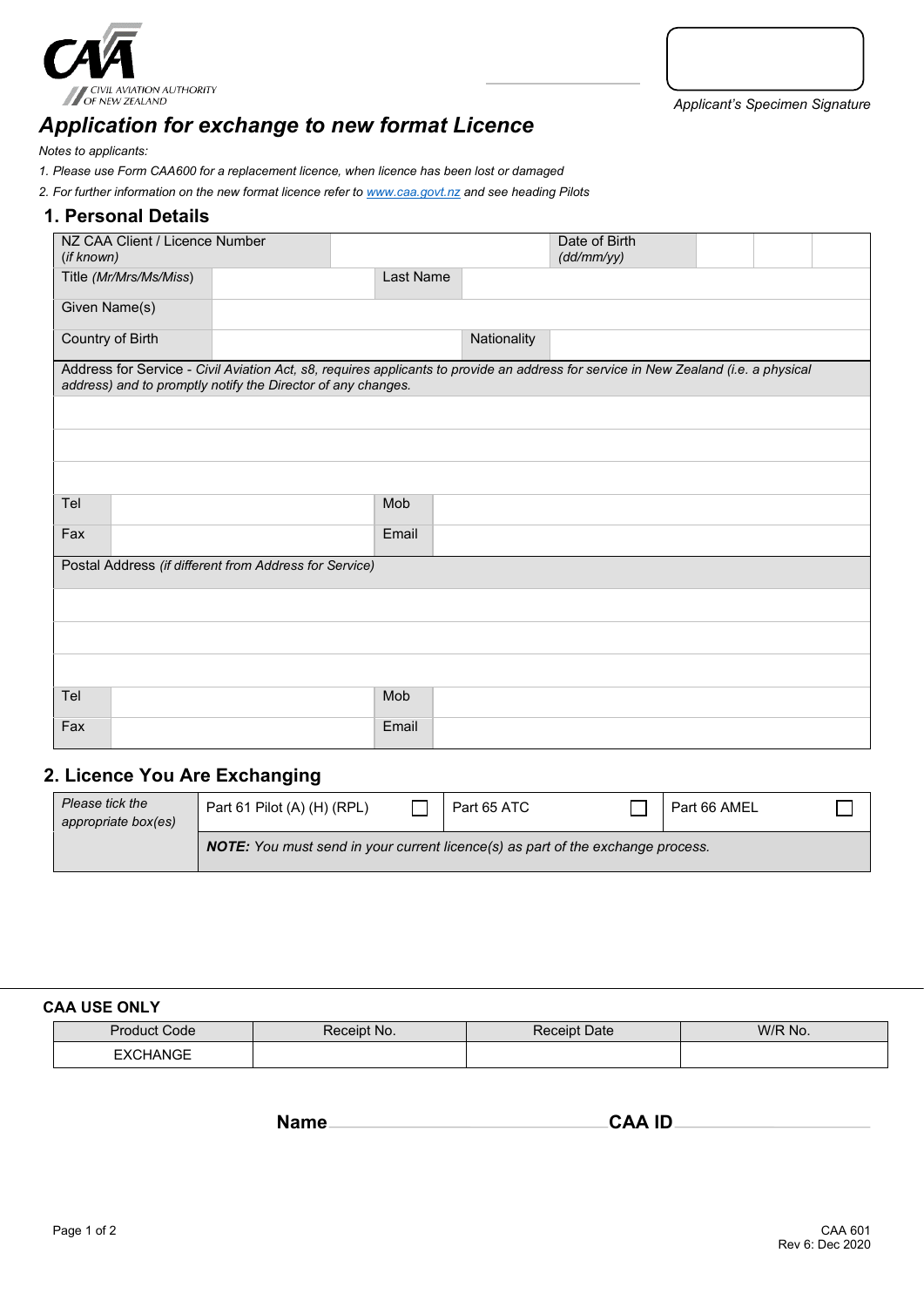

*Applicant's Specimen Signature*

# *Application for exchange to new format Licence*

*Notes to applicants:* 

*1. Please use Form CAA600 for a replacement licence, when licence has been lost or damaged* 

*2. For further information on the new format licence refer t[o www.caa.govt.nz](http://www.caa.govt.nz/) and see heading Pilots*

### **1. Personal Details**

| NZ CAA Client / Licence Number<br>(if known)           |                                                                                                                                                                                                     |           |             | Date of Birth<br>(dd/mm/yy) |  |  |  |
|--------------------------------------------------------|-----------------------------------------------------------------------------------------------------------------------------------------------------------------------------------------------------|-----------|-------------|-----------------------------|--|--|--|
| Title (Mr/Mrs/Ms/Miss)                                 |                                                                                                                                                                                                     | Last Name |             |                             |  |  |  |
| Given Name(s)                                          |                                                                                                                                                                                                     |           |             |                             |  |  |  |
| Country of Birth                                       |                                                                                                                                                                                                     |           | Nationality |                             |  |  |  |
|                                                        | Address for Service - Civil Aviation Act, s8, requires applicants to provide an address for service in New Zealand (i.e. a physical<br>address) and to promptly notify the Director of any changes. |           |             |                             |  |  |  |
|                                                        |                                                                                                                                                                                                     |           |             |                             |  |  |  |
|                                                        |                                                                                                                                                                                                     |           |             |                             |  |  |  |
|                                                        |                                                                                                                                                                                                     |           |             |                             |  |  |  |
| Tel                                                    |                                                                                                                                                                                                     | Mob       |             |                             |  |  |  |
| Fax                                                    |                                                                                                                                                                                                     | Email     |             |                             |  |  |  |
| Postal Address (if different from Address for Service) |                                                                                                                                                                                                     |           |             |                             |  |  |  |
|                                                        |                                                                                                                                                                                                     |           |             |                             |  |  |  |
|                                                        |                                                                                                                                                                                                     |           |             |                             |  |  |  |
|                                                        |                                                                                                                                                                                                     |           |             |                             |  |  |  |
| Tel                                                    |                                                                                                                                                                                                     | Mob       |             |                             |  |  |  |
| Fax                                                    |                                                                                                                                                                                                     | Email     |             |                             |  |  |  |

# **2. Licence You Are Exchanging**

| Please tick the<br>appropriate box(es) | Part 61 Pilot (A) (H) (RPL)                                                            |  | Part 65 ATC |  | Part 66 AMEL |  |  |
|----------------------------------------|----------------------------------------------------------------------------------------|--|-------------|--|--------------|--|--|
|                                        | <b>NOTE:</b> You must send in your current licence(s) as part of the exchange process. |  |             |  |              |  |  |

#### **CAA USE ONLY**

| Product Code    | Receipt No. | ੇ Date<br>eceipt | W/R No. |
|-----------------|-------------|------------------|---------|
| <b>EXCHANGE</b> |             |                  |         |

**Name CAA ID**